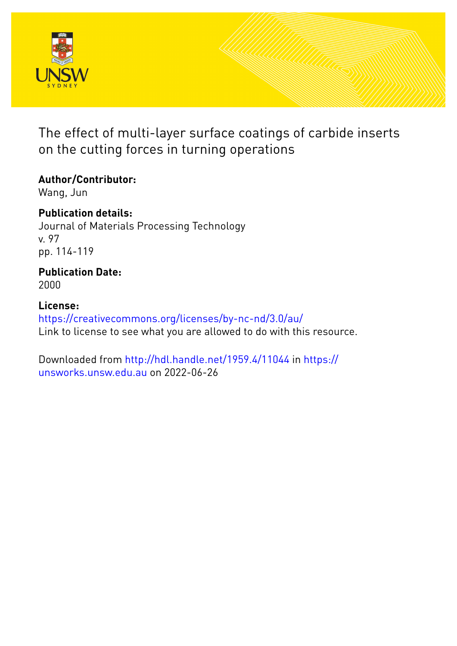

The effect of multi-layer surface coatings of carbide inserts on the cutting forces in turning operations

# **Author/Contributor:**

Wang, Jun

**Publication details:** Journal of Materials Processing Technology v. 97 pp. 114-119

# **Publication Date:** 2000

**License:**

<https://creativecommons.org/licenses/by-nc-nd/3.0/au/> Link to license to see what you are allowed to do with this resource.

Downloaded from <http://hdl.handle.net/1959.4/11044> in [https://](https://unsworks.unsw.edu.au) [unsworks.unsw.edu.au](https://unsworks.unsw.edu.au) on 2022-06-26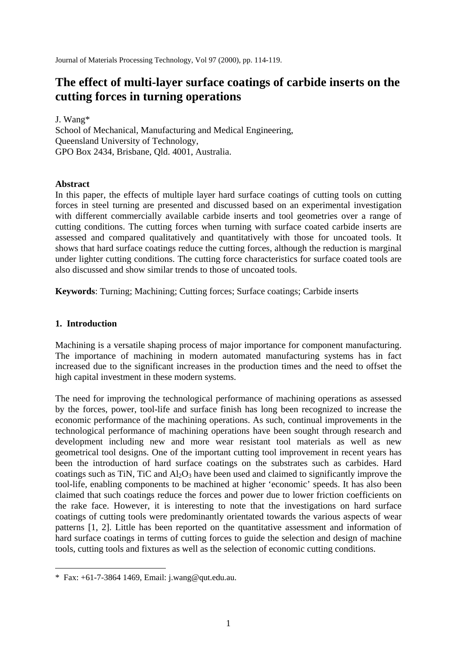Journal of Materials Processing Technology, Vol 97 (2000), pp. 114-119.

# **The effect of multi-layer surface coatings of carbide inserts on the cutting forces in turning operations**

J. Wang\* School of Mechanical, Manufacturing and Medical Engineering, Queensland University of Technology, GPO Box 2434, Brisbane, Qld. 4001, Australia.

## **Abstract**

In this paper, the effects of multiple layer hard surface coatings of cutting tools on cutting forces in steel turning are presented and discussed based on an experimental investigation with different commercially available carbide inserts and tool geometries over a range of cutting conditions. The cutting forces when turning with surface coated carbide inserts are assessed and compared qualitatively and quantitatively with those for uncoated tools. It shows that hard surface coatings reduce the cutting forces, although the reduction is marginal under lighter cutting conditions. The cutting force characteristics for surface coated tools are also discussed and show similar trends to those of uncoated tools.

**Keywords**: Turning; Machining; Cutting forces; Surface coatings; Carbide inserts

# **1. Introduction**

<u>.</u>

Machining is a versatile shaping process of major importance for component manufacturing. The importance of machining in modern automated manufacturing systems has in fact increased due to the significant increases in the production times and the need to offset the high capital investment in these modern systems.

The need for improving the technological performance of machining operations as assessed by the forces, power, tool-life and surface finish has long been recognized to increase the economic performance of the machining operations. As such, continual improvements in the technological performance of machining operations have been sought through research and development including new and more wear resistant tool materials as well as new geometrical tool designs. One of the important cutting tool improvement in recent years has been the introduction of hard surface coatings on the substrates such as carbides. Hard coatings such as TiN, TiC and  $Al_2O_3$  have been used and claimed to significantly improve the tool-life, enabling components to be machined at higher 'economic' speeds. It has also been claimed that such coatings reduce the forces and power due to lower friction coefficients on the rake face. However, it is interesting to note that the investigations on hard surface coatings of cutting tools were predominantly orientated towards the various aspects of wear patterns [1, 2]. Little has been reported on the quantitative assessment and information of hard surface coatings in terms of cutting forces to guide the selection and design of machine tools, cutting tools and fixtures as well as the selection of economic cutting conditions.

<sup>\*</sup> Fax: +61-7-3864 1469, Email: j.wang@qut.edu.au.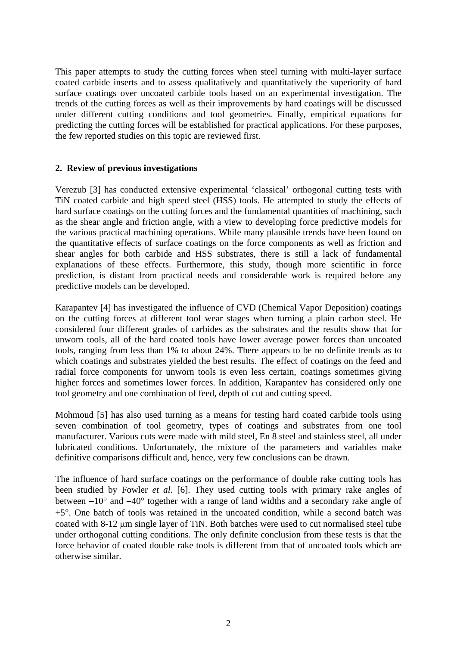This paper attempts to study the cutting forces when steel turning with multi-layer surface coated carbide inserts and to assess qualitatively and quantitatively the superiority of hard surface coatings over uncoated carbide tools based on an experimental investigation. The trends of the cutting forces as well as their improvements by hard coatings will be discussed under different cutting conditions and tool geometries. Finally, empirical equations for predicting the cutting forces will be established for practical applications. For these purposes, the few reported studies on this topic are reviewed first.

# **2. Review of previous investigations**

Verezub [3] has conducted extensive experimental 'classical' orthogonal cutting tests with TiN coated carbide and high speed steel (HSS) tools. He attempted to study the effects of hard surface coatings on the cutting forces and the fundamental quantities of machining, such as the shear angle and friction angle, with a view to developing force predictive models for the various practical machining operations. While many plausible trends have been found on the quantitative effects of surface coatings on the force components as well as friction and shear angles for both carbide and HSS substrates, there is still a lack of fundamental explanations of these effects. Furthermore, this study, though more scientific in force prediction, is distant from practical needs and considerable work is required before any predictive models can be developed.

Karapantev [4] has investigated the influence of CVD (Chemical Vapor Deposition) coatings on the cutting forces at different tool wear stages when turning a plain carbon steel. He considered four different grades of carbides as the substrates and the results show that for unworn tools, all of the hard coated tools have lower average power forces than uncoated tools, ranging from less than 1% to about 24%. There appears to be no definite trends as to which coatings and substrates yielded the best results. The effect of coatings on the feed and radial force components for unworn tools is even less certain, coatings sometimes giving higher forces and sometimes lower forces. In addition, Karapantev has considered only one tool geometry and one combination of feed, depth of cut and cutting speed.

Mohmoud [5] has also used turning as a means for testing hard coated carbide tools using seven combination of tool geometry, types of coatings and substrates from one tool manufacturer. Various cuts were made with mild steel, En 8 steel and stainless steel, all under lubricated conditions. Unfortunately, the mixture of the parameters and variables make definitive comparisons difficult and, hence, very few conclusions can be drawn.

The influence of hard surface coatings on the performance of double rake cutting tools has been studied by Fowler *et al*. [6]. They used cutting tools with primary rake angles of between −10° and −40° together with a range of land widths and a secondary rake angle of +5°. One batch of tools was retained in the uncoated condition, while a second batch was coated with 8-12 μm single layer of TiN. Both batches were used to cut normalised steel tube under orthogonal cutting conditions. The only definite conclusion from these tests is that the force behavior of coated double rake tools is different from that of uncoated tools which are otherwise similar.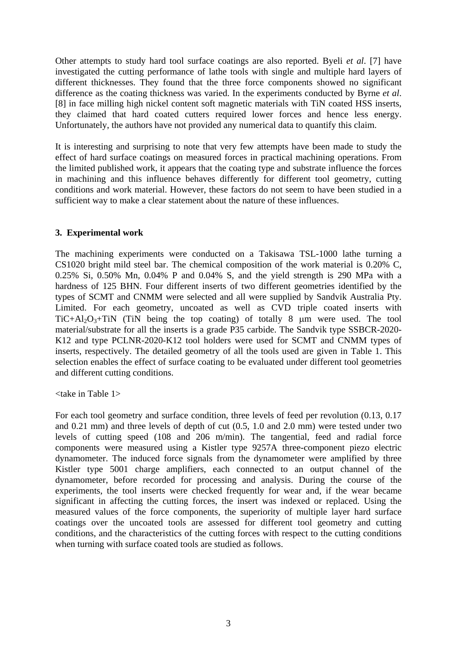Other attempts to study hard tool surface coatings are also reported. Byeli *et al*. [7] have investigated the cutting performance of lathe tools with single and multiple hard layers of different thicknesses. They found that the three force components showed no significant difference as the coating thickness was varied. In the experiments conducted by Byrne *et al*. [8] in face milling high nickel content soft magnetic materials with TiN coated HSS inserts, they claimed that hard coated cutters required lower forces and hence less energy. Unfortunately, the authors have not provided any numerical data to quantify this claim.

It is interesting and surprising to note that very few attempts have been made to study the effect of hard surface coatings on measured forces in practical machining operations. From the limited published work, it appears that the coating type and substrate influence the forces in machining and this influence behaves differently for different tool geometry, cutting conditions and work material. However, these factors do not seem to have been studied in a sufficient way to make a clear statement about the nature of these influences.

## **3. Experimental work**

The machining experiments were conducted on a Takisawa TSL-1000 lathe turning a CS1020 bright mild steel bar. The chemical composition of the work material is 0.20% C, 0.25% Si, 0.50% Mn, 0.04% P and 0.04% S, and the yield strength is 290 MPa with a hardness of 125 BHN. Four different inserts of two different geometries identified by the types of SCMT and CNMM were selected and all were supplied by Sandvik Australia Pty. Limited. For each geometry, uncoated as well as CVD triple coated inserts with  $TiC+Al<sub>2</sub>O<sub>3</sub>+TiN$  (TiN being the top coating) of totally 8  $\mu$ m were used. The tool material/substrate for all the inserts is a grade P35 carbide. The Sandvik type SSBCR-2020- K12 and type PCLNR-2020-K12 tool holders were used for SCMT and CNMM types of inserts, respectively. The detailed geometry of all the tools used are given in Table 1. This selection enables the effect of surface coating to be evaluated under different tool geometries and different cutting conditions.

<take in Table 1>

For each tool geometry and surface condition, three levels of feed per revolution (0.13, 0.17 and 0.21 mm) and three levels of depth of cut (0.5, 1.0 and 2.0 mm) were tested under two levels of cutting speed (108 and 206 m/min). The tangential, feed and radial force components were measured using a Kistler type 9257A three-component piezo electric dynamometer. The induced force signals from the dynamometer were amplified by three Kistler type 5001 charge amplifiers, each connected to an output channel of the dynamometer, before recorded for processing and analysis. During the course of the experiments, the tool inserts were checked frequently for wear and, if the wear became significant in affecting the cutting forces, the insert was indexed or replaced. Using the measured values of the force components, the superiority of multiple layer hard surface coatings over the uncoated tools are assessed for different tool geometry and cutting conditions, and the characteristics of the cutting forces with respect to the cutting conditions when turning with surface coated tools are studied as follows.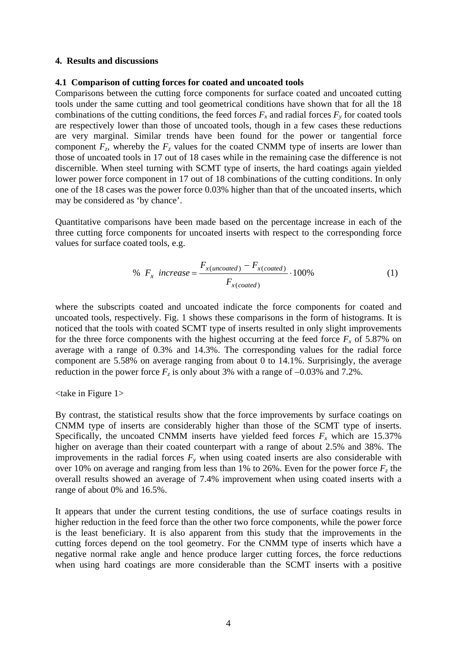#### **4. Results and discussions**

#### **4.1 Comparison of cutting forces for coated and uncoated tools**

Comparisons between the cutting force components for surface coated and uncoated cutting tools under the same cutting and tool geometrical conditions have shown that for all the 18 combinations of the cutting conditions, the feed forces  $F_x$  and radial forces  $F_y$  for coated tools are respectively lower than those of uncoated tools, though in a few cases these reductions are very marginal. Similar trends have been found for the power or tangential force component  $F_z$ , whereby the  $F_z$  values for the coated CNMM type of inserts are lower than those of uncoated tools in 17 out of 18 cases while in the remaining case the difference is not discernible. When steel turning with SCMT type of inserts, the hard coatings again yielded lower power force component in 17 out of 18 combinations of the cutting conditions. In only one of the 18 cases was the power force 0.03% higher than that of the uncoated inserts, which may be considered as 'by chance'.

Quantitative comparisons have been made based on the percentage increase in each of the three cutting force components for uncoated inserts with respect to the corresponding force values for surface coated tools, e.g.

% 
$$
F_x
$$
 increase = 
$$
\frac{F_{x(uncolated)} - F_{x(colated)}}{F_{x(colated)}}
$$
 · 100% (1)

where the subscripts coated and uncoated indicate the force components for coated and uncoated tools, respectively. Fig. 1 shows these comparisons in the form of histograms. It is noticed that the tools with coated SCMT type of inserts resulted in only slight improvements for the three force components with the highest occurring at the feed force  $F_x$  of 5.87% on average with a range of 0.3% and 14.3%. The corresponding values for the radial force component are 5.58% on average ranging from about 0 to 14.1%. Surprisingly, the average reduction in the power force  $F_z$  is only about 3% with a range of  $-0.03\%$  and 7.2%.

#### <take in Figure 1>

By contrast, the statistical results show that the force improvements by surface coatings on CNMM type of inserts are considerably higher than those of the SCMT type of inserts. Specifically, the uncoated CNMM inserts have yielded feed forces  $F_x$  which are 15.37% higher on average than their coated counterpart with a range of about 2.5% and 38%. The improvements in the radial forces  $F_y$  when using coated inserts are also considerable with over 10% on average and ranging from less than 1% to 26%. Even for the power force  $F<sub>z</sub>$  the overall results showed an average of 7.4% improvement when using coated inserts with a range of about 0% and 16.5%.

It appears that under the current testing conditions, the use of surface coatings results in higher reduction in the feed force than the other two force components, while the power force is the least beneficiary. It is also apparent from this study that the improvements in the cutting forces depend on the tool geometry. For the CNMM type of inserts which have a negative normal rake angle and hence produce larger cutting forces, the force reductions when using hard coatings are more considerable than the SCMT inserts with a positive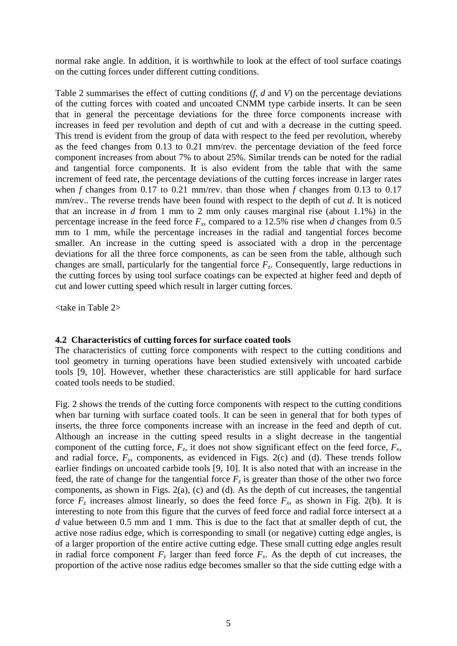normal rake angle. In addition, it is worthwhile to look at the effect of tool surface coatings on the cutting forces under different cutting conditions.

Table 2 summarises the effect of cutting conditions (*f*, *d* and *V*) on the percentage deviations of the cutting forces with coated and uncoated CNMM type carbide inserts. It can be seen that in general the percentage deviations for the three force components increase with increases in feed per revolution and depth of cut and with a decrease in the cutting speed. This trend is evident from the group of data with respect to the feed per revolution, whereby as the feed changes from 0.13 to 0.21 mm/rev. the percentage deviation of the feed force component increases from about 7% to about 25%. Similar trends can be noted for the radial and tangential force components. It is also evident from the table that with the same increment of feed rate, the percentage deviations of the cutting forces increase in larger rates when *f* changes from 0.17 to 0.21 mm/rev. than those when *f* changes from 0.13 to 0.17 mm/rev.. The reverse trends have been found with respect to the depth of cut *d*. It is noticed that an increase in *d* from 1 mm to 2 mm only causes marginal rise (about 1.1%) in the percentage increase in the feed force  $F_x$ , compared to a 12.5% rise when *d* changes from 0.5 mm to 1 mm, while the percentage increases in the radial and tangential forces become smaller. An increase in the cutting speed is associated with a drop in the percentage deviations for all the three force components, as can be seen from the table, although such changes are small, particularly for the tangential force  $F<sub>z</sub>$ . Consequently, large reductions in the cutting forces by using tool surface coatings can be expected at higher feed and depth of cut and lower cutting speed which result in larger cutting forces.

<take in Table 2>

#### **4.2 Characteristics of cutting forces for surface coated tools**

The characteristics of cutting force components with respect to the cutting conditions and tool geometry in turning operations have been studied extensively with uncoated carbide tools [9, 10]. However, whether these characteristics are still applicable for hard surface coated tools needs to be studied.

Fig. 2 shows the trends of the cutting force components with respect to the cutting conditions when bar turning with surface coated tools. It can be seen in general that for both types of inserts, the three force components increase with an increase in the feed and depth of cut. Although an increase in the cutting speed results in a slight decrease in the tangential component of the cutting force,  $F_z$ , it does not show significant effect on the feed force,  $F_x$ , and radial force,  $F_y$ , components, as evidenced in Figs. 2(c) and (d). These trends follow earlier findings on uncoated carbide tools [9, 10]. It is also noted that with an increase in the feed, the rate of change for the tangential force  $F<sub>z</sub>$  is greater than those of the other two force components, as shown in Figs. 2(a), (c) and (d). As the depth of cut increases, the tangential force  $F_z$  increases almost linearly, so does the feed force  $F_x$ , as shown in Fig. 2(b). It is interesting to note from this figure that the curves of feed force and radial force intersect at a *d* value between 0.5 mm and 1 mm. This is due to the fact that at smaller depth of cut, the active nose radius edge, which is corresponding to small (or negative) cutting edge angles, is of a larger proportion of the entire active cutting edge. These small cutting edge angles result in radial force component  $F_y$  larger than feed force  $F_x$ . As the depth of cut increases, the proportion of the active nose radius edge becomes smaller so that the side cutting edge with a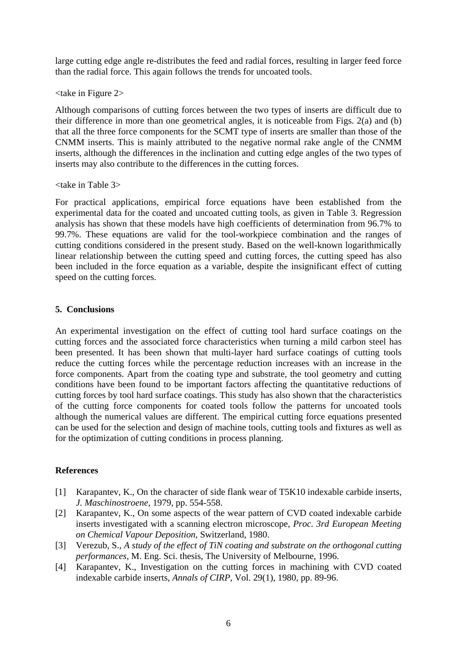large cutting edge angle re-distributes the feed and radial forces, resulting in larger feed force than the radial force. This again follows the trends for uncoated tools.

<take in Figure 2>

Although comparisons of cutting forces between the two types of inserts are difficult due to their difference in more than one geometrical angles, it is noticeable from Figs. 2(a) and (b) that all the three force components for the SCMT type of inserts are smaller than those of the CNMM inserts. This is mainly attributed to the negative normal rake angle of the CNMM inserts, although the differences in the inclination and cutting edge angles of the two types of inserts may also contribute to the differences in the cutting forces.

<take in Table 3>

For practical applications, empirical force equations have been established from the experimental data for the coated and uncoated cutting tools, as given in Table 3. Regression analysis has shown that these models have high coefficients of determination from 96.7% to 99.7%. These equations are valid for the tool-workpiece combination and the ranges of cutting conditions considered in the present study. Based on the well-known logarithmically linear relationship between the cutting speed and cutting forces, the cutting speed has also been included in the force equation as a variable, despite the insignificant effect of cutting speed on the cutting forces.

## **5. Conclusions**

An experimental investigation on the effect of cutting tool hard surface coatings on the cutting forces and the associated force characteristics when turning a mild carbon steel has been presented. It has been shown that multi-layer hard surface coatings of cutting tools reduce the cutting forces while the percentage reduction increases with an increase in the force components. Apart from the coating type and substrate, the tool geometry and cutting conditions have been found to be important factors affecting the quantitative reductions of cutting forces by tool hard surface coatings. This study has also shown that the characteristics of the cutting force components for coated tools follow the patterns for uncoated tools although the numerical values are different. The empirical cutting force equations presented can be used for the selection and design of machine tools, cutting tools and fixtures as well as for the optimization of cutting conditions in process planning.

## **References**

- [1] Karapantev, K., On the character of side flank wear of T5K10 indexable carbide inserts, *J. Maschinostroene*, 1979, pp. 554-558.
- [2] Karapantev, K., On some aspects of the wear pattern of CVD coated indexable carbide inserts investigated with a scanning electron microscope, *Proc. 3rd European Meeting on Chemical Vapour Deposition*, Switzerland, 1980.
- [3] Verezub, S., *A study of the effect of TiN coating and substrate on the orthogonal cutting performances*, M. Eng. Sci. thesis, The University of Melbourne, 1996.
- [4] Karapantev, K., Investigation on the cutting forces in machining with CVD coated indexable carbide inserts, *Annals of CIRP*, Vol. 29(1), 1980, pp. 89-96.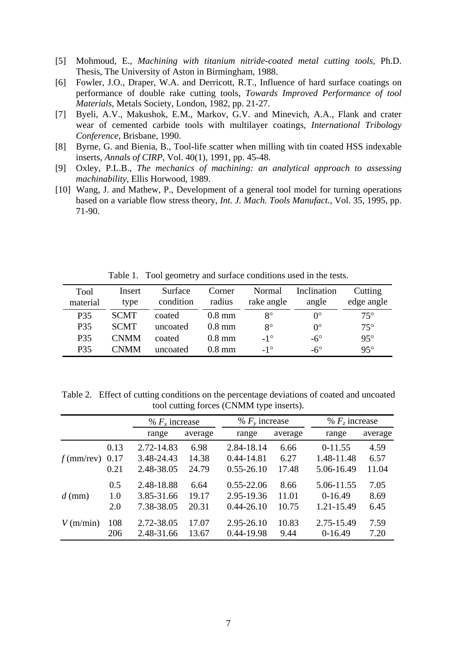- [5] Mohmoud, E., *Machining with titanium nitride-coated metal cutting tools*, Ph.D. Thesis, The University of Aston in Birmingham, 1988.
- [6] Fowler, J.O., Draper, W.A. and Derricott, R.T., Influence of hard surface coatings on performance of double rake cutting tools, *Towards Improved Performance of tool Materials*, Metals Society, London, 1982, pp. 21-27.
- [7] Byeli, A.V., Makushok, E.M., Markov, G.V. and Minevich, A.A., Flank and crater wear of cemented carbide tools with multilayer coatings, *International Tribology Conference*, Brisbane, 1990.
- [8] Byrne, G. and Bienia, B., Tool-life scatter when milling with tin coated HSS indexable inserts, *Annals of CIRP*, Vol. 40(1), 1991, pp. 45-48.
- [9] Oxley, P.L.B., *The mechanics of machining: an analytical approach to assessing machinability*, Ellis Horwood, 1989.
- [10] Wang, J. and Mathew, P., Development of a general tool model for turning operations based on a variable flow stress theory, *Int. J. Mach. Tools Manufact.*, Vol. 35, 1995, pp. 71-90.

| Tool     | Insert      | Surface   | Corner   | Normal       | Inclination      | Cutting      |
|----------|-------------|-----------|----------|--------------|------------------|--------------|
| material | type        | condition | radius   | rake angle   | angle            | edge angle   |
| P35      | <b>SCMT</b> | coated    | $0.8$ mm | $8^{\circ}$  | $0^{\circ}$      | $75^{\circ}$ |
| P35      | <b>SCMT</b> | uncoated  | $0.8$ mm | $8^{\circ}$  | $\Omega^{\circ}$ | $75^{\circ}$ |
| P35      | <b>CNMM</b> | coated    | $0.8$ mm | $-1^\circ$   | $-6^\circ$       | $95^\circ$   |
| P35      | <b>CNMM</b> | uncoated  | $0.8$ mm | $-1^{\circ}$ | $-6^\circ$       | $95^\circ$   |

Table 1. Tool geometry and surface conditions used in the tests.

Table 2. Effect of cutting conditions on the percentage deviations of coated and uncoated tool cutting forces (CNMM type inserts).

|              |      | % $F_x$ increase |         | % $F_v$ increase |         | % $Fz$ increase |         |
|--------------|------|------------------|---------|------------------|---------|-----------------|---------|
|              |      | range            | average | range            | average | range           | average |
|              | 0.13 | 2.72-14.83       | 6.98    | 2.84-18.14       | 6.66    | $0-11.55$       | 4.59    |
| $f$ (mm/rev) | 0.17 | 3.48-24.43       | 14.38   | 0.44-14.81       | 6.27    | 1.48-11.48      | 6.57    |
|              | 0.21 | 2.48-38.05       | 24.79   | $0.55 - 26.10$   | 17.48   | 5.06-16.49      | 11.04   |
|              | 0.5  | 2.48-18.88       | 6.64    | $0.55 - 22.06$   | 8.66    | 5.06-11.55      | 7.05    |
| $d$ (mm)     | 1.0  | 3.85-31.66       | 19.17   | 2.95-19.36       | 11.01   | $0-16.49$       | 8.69    |
|              | 2.0  | 7.38-38.05       | 20.31   | $0.44 - 26.10$   | 10.75   | 1.21-15.49      | 6.45    |
| $V$ (m/min)  | 108  | 2.72-38.05       | 17.07   | 2.95-26.10       | 10.83   | 2.75-15.49      | 7.59    |
|              | 206  | 2.48-31.66       | 13.67   | 0.44-19.98       | 9.44    | $0-16.49$       | 7.20    |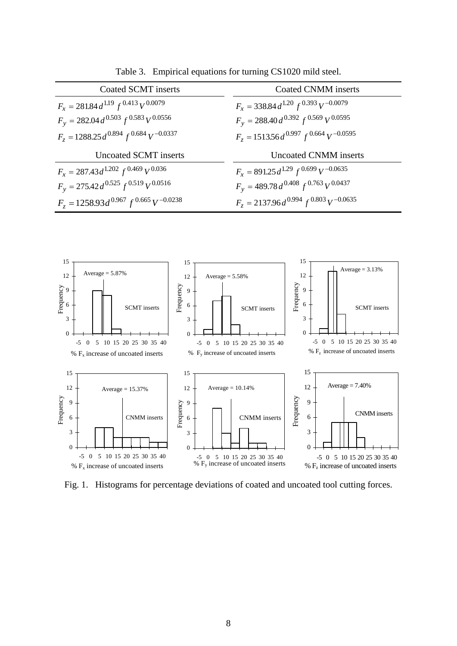| Coated SCMT inserts                             | <b>Coated CNMM</b> inserts                      |  |  |
|-------------------------------------------------|-------------------------------------------------|--|--|
| $F_x = 281.84 d^{1.19} f^{0.413} V^{0.0079}$    | $F_x = 338.84 d^{1.20} f^{0.393} V^{-0.0079}$   |  |  |
| $F_v = 282.04 d^{0.503} f^{0.583} V^{0.0556}$   | $F_v = 288.40 d^{0.392} f^{0.569} V^{0.0595}$   |  |  |
| $F_z = 1288.25 d^{0.894} f^{0.684} V^{-0.0337}$ | $F_z = 1513.56 d^{0.997} f^{0.664} V^{-0.0595}$ |  |  |
| Uncoated SCMT inserts                           | <b>Uncoated CNMM</b> inserts                    |  |  |
| $F_x = 287.43 d^{1.202} f^{0.469} V^{0.036}$    | $F_x = 891.25 d^{1.29} f^{0.699} V^{-0.0635}$   |  |  |
| $F_y = 275.42 d^{0.525} f^{0.519} V^{0.0516}$   | $F_y = 489.78 d^{0.408} f^{0.763} V^{0.0437}$   |  |  |
| $F_z = 1258.93 d^{0.967} f^{0.665} V^{-0.0238}$ | $F_z = 2137.96 d^{0.994} f^{0.803} V^{-0.0635}$ |  |  |

Table 3. Empirical equations for turning CS1020 mild steel.



Fig. 1. Histograms for percentage deviations of coated and uncoated tool cutting forces.